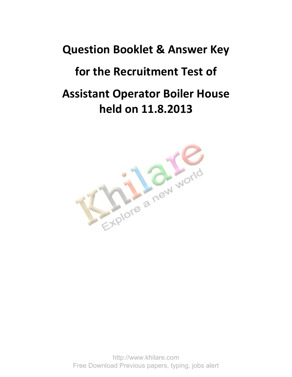## **Question Booklet & Answer Key for the Recruitment Test of Assistant Operator Boiler House held on 11.8.2013**



http://www.khilare.com Free Download Previous papers, typing, jobs alert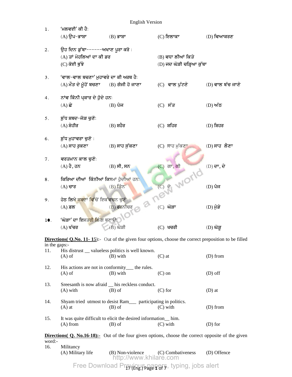| <b>English Version</b> |                                                                                                          |                                                                                                             |                          |                  |  |  |  |
|------------------------|----------------------------------------------------------------------------------------------------------|-------------------------------------------------------------------------------------------------------------|--------------------------|------------------|--|--|--|
| 1.                     | 'ਮਲਵਈ' ਕੀ ਹੈ:                                                                                            |                                                                                                             |                          |                  |  |  |  |
|                        | $(A)$ ਉਪ–ਭਾਸ਼ਾ                                                                                           | $(B)$ ਭਾਸ਼ਾ                                                                                                 | $(C)$ ਇਲਾਕਾ              | (D) ਵਿਆਕਰਣ       |  |  |  |
| 2.                     | ਉਹ ਦਿਨ ਡੁੱਬਾ------ਅਖਾਣ ਪੁਰਾ ਕਰੋ :                                                                        |                                                                                                             |                          |                  |  |  |  |
|                        | (A) ਤਾਂ ਮੋਹਲਿਆਂ ਦਾ ਕੀ ਡਰ                                                                                 |                                                                                                             | (B) ਵਧਾ ਲੀਆਂ ਕਿਤੇ        |                  |  |  |  |
|                        | (C) ਕੋਈ ਬੁੱਝੇ                                                                                            |                                                                                                             | (D) ਜਦ ਘੋੜੀ ਚੜ੍ਹਿਆ ਕੁੱਬਾ |                  |  |  |  |
|                        |                                                                                                          |                                                                                                             |                          |                  |  |  |  |
| 3.                     | 'ਵਾਲ−ਵਾਲ ਬਚਣਾ' ਮਹਾਵਰੇ ਦਾ ਕੀ ਅਰਥ ਹੈ∶<br>(A) ਮੌਤ ਦੇ ਮੂੰਹੋਂ ਬਚਣਾ (B) ਗੰਜੀ ਹੋ ਜਾਣਾ                           |                                                                                                             | $(C)$ ਵਾਲ ਪੁੱਟਣੇ         | (D) ਵਾਲ ਬੱਚ ਜਾਣੇ |  |  |  |
|                        |                                                                                                          |                                                                                                             |                          |                  |  |  |  |
| 4.                     | ਨਾਂਵ ਕਿੰਨੀ ਪ੍ਰਕਾਰ ਦੇ ਹੁੰਦੇ ਹਨ:                                                                           |                                                                                                             |                          |                  |  |  |  |
|                        | $(A)$ ਛੇ                                                                                                 | $(B)$ ਪੰਜ                                                                                                   | $(C)$ ਸੱਤ                | $(D)$ ਅੱਠ        |  |  |  |
|                        |                                                                                                          |                                                                                                             |                          |                  |  |  |  |
| 5.                     | ਸ਼ੁੱਧ ਸ਼ਬਦ−ਜੋੜ ਚੁਣੋ:                                                                                     |                                                                                                             |                          |                  |  |  |  |
|                        | $(A)$ ਸ਼ੇਹੀਰ                                                                                             | $(B)$ ਸ਼ਹੈਰ                                                                                                 | $(C)$ ਸ਼ਹਿਰ              | $(D)$ ਸ਼ਿਹਰ      |  |  |  |
|                        |                                                                                                          |                                                                                                             |                          |                  |  |  |  |
| 6.                     | ਸ਼ੁੱਧ ਮੁਹਾਵਰਾ ਚੁਣੋ :                                                                                     |                                                                                                             |                          |                  |  |  |  |
|                        | $(A)$ ਸਾਹ ਰੁਕਣਾ                                                                                          | (B) ਸਾਹ ਸੁੱਕਣਾ                                                                                              | (C) ਸਾਹ ਮੁੱਕਣਾ           | (D) ਸਾਹ ਲੈਣਾ     |  |  |  |
|                        |                                                                                                          |                                                                                                             |                          |                  |  |  |  |
| 7.                     | ਵਰਤਮਾਨ ਕਾਲ ਚੁਣੋ:                                                                                         |                                                                                                             |                          |                  |  |  |  |
|                        | (A) ਹੈ, ਹਨ                                                                                               | (B) ਸੀ, ਸਨ                                                                                                  | (C) ਗਾ, ਗੀ               | $(D)$ ਦਾ, ਦੇ     |  |  |  |
|                        |                                                                                                          |                                                                                                             |                          |                  |  |  |  |
| $8$ .                  | ਕਿਰਿਆ ਦੀਆਂ ਕਿੰਨੀਆਂ ਕਿਸਮਾਂ ਹੁੰਦੀਆਂ ਹਨ:                                                                    |                                                                                                             | WOrld                    |                  |  |  |  |
|                        | $(A)$ ਚਾਰ                                                                                                | $(B)$ ਤਿੰਨ                                                                                                  | $\overline{C}$ ) ਦੋ      | (D) ਪੰਜ          |  |  |  |
|                        |                                                                                                          |                                                                                                             |                          |                  |  |  |  |
| 9.                     | ਹੇਠ ਲਿਖੇ ਸ਼ਬਦਾਂ ਵਿੱਚੋਂ ਇਕੱਵਚਨ ਚੁਣੋ:                                                                      |                                                                                                             |                          |                  |  |  |  |
|                        | $(A)$ ਫ਼ਲ                                                                                                | (B) ਫਰਨੀਚਰ                                                                                                  | $(C)$ ਘੋੜਾ               | (D) ਮੁੰਡੇ        |  |  |  |
|                        |                                                                                                          |                                                                                                             |                          |                  |  |  |  |
| 1●.                    | 'ਘੋੜਾ' ਦਾ ਇਸਤ <mark>ਰੀ ਲਿੰ</mark> ਗ ਬਣਾਉ:                                                                |                                                                                                             |                          |                  |  |  |  |
|                        | $(A)$ ਖੱਚਰ                                                                                               | $(B)$ ਘੋੜੀ                                                                                                  | $(C)$ ਖਚਰੀ               | $(D)$ ਘੋੜ੍ਹ      |  |  |  |
|                        |                                                                                                          |                                                                                                             |                          |                  |  |  |  |
| in the gaps:-          |                                                                                                          | <b>Directions (Q.No. 11-15):</b> Out of the given four options, choose the correct preposition to be filled |                          |                  |  |  |  |
| 11.                    |                                                                                                          | His distrust _ valueless politics is well known.                                                            |                          |                  |  |  |  |
|                        | $(A)$ of                                                                                                 | $(B)$ with                                                                                                  | $(C)$ at                 | (D) from         |  |  |  |
|                        |                                                                                                          |                                                                                                             |                          |                  |  |  |  |
| 12.                    |                                                                                                          | His actions are not in conformity the rules.                                                                |                          |                  |  |  |  |
|                        | $(A)$ of                                                                                                 | $(B)$ with                                                                                                  | $(C)$ on                 | $(D)$ off        |  |  |  |
| 13.                    |                                                                                                          | Sreesanth is now afraid _ his reckless conduct.                                                             |                          |                  |  |  |  |
|                        | $(A)$ with                                                                                               | $(B)$ of                                                                                                    | $(C)$ for                | $(D)$ at         |  |  |  |
|                        |                                                                                                          |                                                                                                             |                          |                  |  |  |  |
| 14.                    |                                                                                                          | Shyam tried utmost to desist Ram <sub>___</sub> participating in politics.<br>$(B)$ of                      |                          |                  |  |  |  |
|                        | $(A)$ at                                                                                                 | $(C)$ with                                                                                                  | (D) from                 |                  |  |  |  |
| 15.                    |                                                                                                          | It was quite difficult to elicit the desired information_him.                                               |                          |                  |  |  |  |
|                        | $(A)$ from                                                                                               | $(B)$ of                                                                                                    | $(C)$ with               | $(D)$ for        |  |  |  |
|                        |                                                                                                          |                                                                                                             |                          |                  |  |  |  |
|                        | <b>Directions (Q. No.16-18):</b> Out of the four given options, choose the correct opposite of the given |                                                                                                             |                          |                  |  |  |  |
| word:-                 |                                                                                                          |                                                                                                             |                          |                  |  |  |  |
| 16.                    | Militancy<br>(A) Military life                                                                           | (B) Non-violence                                                                                            | (C) Combativeness        | (D) Offence      |  |  |  |
|                        |                                                                                                          | http://www.khilare.com                                                                                      |                          |                  |  |  |  |

Free Download Previous papers, typing, jobs alert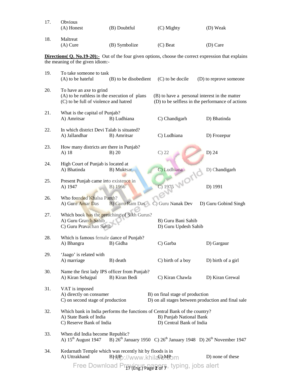| 17. | Obvious<br>(A) Honest                                                                                                                            | (B) Doubtful                                                                       | (C) Mighty                                                                                                                        | (D) Weak               |  |  |  |  |
|-----|--------------------------------------------------------------------------------------------------------------------------------------------------|------------------------------------------------------------------------------------|-----------------------------------------------------------------------------------------------------------------------------------|------------------------|--|--|--|--|
| 18. | Maltreat<br>$(A)$ Cure                                                                                                                           | (B) Symbolize                                                                      | $(C)$ Beat                                                                                                                        | (D) Care               |  |  |  |  |
|     | <b>Directions (Q. No.19-20):-</b> Out of the four given options, choose the correct expression that explains<br>the meaning of the given idiom:- |                                                                                    |                                                                                                                                   |                        |  |  |  |  |
|     |                                                                                                                                                  |                                                                                    |                                                                                                                                   |                        |  |  |  |  |
| 19. | To take someone to task<br>(A) to be hateful                                                                                                     | (B) to be disobedient                                                              | (C) to be docile                                                                                                                  | (D) to reprove someone |  |  |  |  |
| 20. | To have an axe to grind<br>(A) to be ruthless in the execution of plans<br>(C) to be full of violence and hatred                                 |                                                                                    | (B) to have a personal interest in the matter<br>(D) to be selfless in the performance of actions                                 |                        |  |  |  |  |
| 21. | What is the capital of Punjab?<br>A) Amritsar                                                                                                    | B) Ludhiana                                                                        | C) Chandigarh                                                                                                                     | D) Bhatinda            |  |  |  |  |
| 22. | In which district Devi Talab is situated?<br>A) Jallandhar                                                                                       | B) Amritsar                                                                        | C) Ludhiana                                                                                                                       | D) Frozepur            |  |  |  |  |
| 23. | How many districts are there in Punjab?<br>A) 18                                                                                                 | $B)$ 20                                                                            | $C)$ 22                                                                                                                           | D) 24                  |  |  |  |  |
| 24. | High Court of Punjab is located at<br>A) Bhatinda                                                                                                | B) Muktsar                                                                         | C) Ludhiana                                                                                                                       | D) Chandigarh          |  |  |  |  |
| 25. | Present Punjab came into existence in<br>A) 1947                                                                                                 | B) 1966                                                                            | C 1975 WORICI                                                                                                                     | D) 1991                |  |  |  |  |
| 26. | Who founded Khalsa Panth?<br>A) Guru Amar Das                                                                                                    | B) Guru Ram Das                                                                    | C) Guru Nanak Dev                                                                                                                 | D) Guru Gobind Singh   |  |  |  |  |
| 27. | Which book has the preaching of Sikh Gurus?<br>A) Guru Granth Sahib<br>C) Guru Pravachan Sahib                                                   |                                                                                    | B) Guru Bani Sahib<br>D) Guru Updesh Sahib                                                                                        |                        |  |  |  |  |
| 28. | Which is famous female dance of Punjab?<br>A) Bhangra                                                                                            | B) Gidha                                                                           | C) Garba                                                                                                                          | D) Gargaur             |  |  |  |  |
| 29. | 'Jaago' is related with<br>A) marriage                                                                                                           | B) death                                                                           | C) birth of a boy                                                                                                                 | D) birth of a girl     |  |  |  |  |
| 30. | Name the first lady IPS officer from Punjab?<br>A) Kiran Sehajpal                                                                                | B) Kiran Bedi                                                                      | C) Kiran Chawla                                                                                                                   | D) Kiran Grewal        |  |  |  |  |
| 31. | VAT is imposed<br>A) directly on consumer<br>C) on second stage of production                                                                    |                                                                                    | B) on final stage of production<br>D) on all stages between production and final sale                                             |                        |  |  |  |  |
| 32. | A) State Bank of India<br>C) Reserve Bank of India                                                                                               |                                                                                    | Which bank in India performs the functions of Central Bank of the country?<br>B) Punjab National Bank<br>D) Central Bank of India |                        |  |  |  |  |
| 33. | When did India become Republic?                                                                                                                  |                                                                                    | A) $15^{th}$ August 1947 B) $26^{th}$ January 1950 C) $26^{th}$ January 1948 D) $26^{th}$ November 1947                           |                        |  |  |  |  |
| 34. | A) Uttrakhand                                                                                                                                    | Kedarnath Temple which was recently hit by floods is in<br>Bhttp://www.khilafeMBom |                                                                                                                                   | D) none of these       |  |  |  |  |
|     |                                                                                                                                                  |                                                                                    | Free Download Previous page ers, typing, jobs alert                                                                               |                        |  |  |  |  |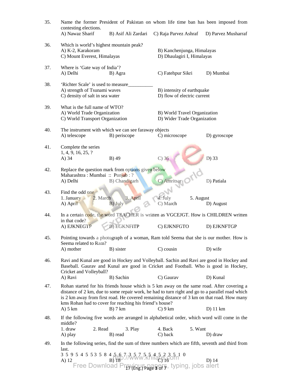| 35. | contesting elections.<br>A) Nawaz Sharif                                                                                                                                                                                                                                                                                                              | B) Asif Ali Zardari                                                  | C) Raja Parvez Ashraf                                       | Name the former President of Pakistan on whom life time ban has been imposed from<br>D) Parvez Musharraf |  |
|-----|-------------------------------------------------------------------------------------------------------------------------------------------------------------------------------------------------------------------------------------------------------------------------------------------------------------------------------------------------------|----------------------------------------------------------------------|-------------------------------------------------------------|----------------------------------------------------------------------------------------------------------|--|
| 36. | Which is world's highest mountain peak?<br>A) K-2, Karakoram<br>C) Mount Everest, Himalayas                                                                                                                                                                                                                                                           | B) Kanchenjunga, Himalayas<br>D) Dhaulagiri I, Himalayas             |                                                             |                                                                                                          |  |
| 37. | Where is 'Gate way of India'?<br>A) Delhi                                                                                                                                                                                                                                                                                                             | B) Agra                                                              | C) Fatehpur Sikri                                           | D) Mumbai                                                                                                |  |
| 38. | 'Richter Scale' is used to measure<br>A) strength of Tsunami waves<br>C) density of salt in sea water                                                                                                                                                                                                                                                 |                                                                      | B) intensity of earthquake<br>D) flow of electric current   |                                                                                                          |  |
| 39. | What is the full name of WTO?<br>A) World Trade Organization<br>C) World Transport Organization                                                                                                                                                                                                                                                       |                                                                      | B) World Travel Organization<br>D) Wider Trade Organization |                                                                                                          |  |
| 40. | A) telescope                                                                                                                                                                                                                                                                                                                                          | The instrument with which we can see faraway objects<br>B) periscope | C) microscope                                               | D) gyroscope                                                                                             |  |
| 41. | Complete the series<br>1, 4, 9, 16, 25, ?<br>A) 34                                                                                                                                                                                                                                                                                                    | $B)$ 49                                                              | $C)$ 36                                                     | D) 33                                                                                                    |  |
| 42. | Maharashtra: Mumbai :: Punjab : ?<br>A) Delhi                                                                                                                                                                                                                                                                                                         | Replace the question mark from options given below<br>B) Chandigarh  | C) Amritsar                                                 | D) Patiala                                                                                               |  |
| 43. | Find the odd one<br>2. March<br>1. January<br>A) April                                                                                                                                                                                                                                                                                                | 3. April<br>B) July                                                  | 4. July<br>C) March                                         | 5. August<br>D) August                                                                                   |  |
| 44. | in that code?<br>A) EJKNEGTP                                                                                                                                                                                                                                                                                                                          | <b>B) EGKNFITP</b>                                                   | C) EJKNFGTO                                                 | In a certain code, the word TEACHER is written as VGCEJGT. How is CHILDREN written<br>D) EJKNFTGP        |  |
| 45. | Seema related to Ram?                                                                                                                                                                                                                                                                                                                                 |                                                                      |                                                             | Pointing towards a photograph of a woman, Ram told Seema that she is our mother. How is                  |  |
|     | A) mother                                                                                                                                                                                                                                                                                                                                             | B) sister                                                            | $C)$ cousin                                                 | D) wife                                                                                                  |  |
| 46. | Ravi and Kunal are good in Hockey and Volleyball. Sachin and Ravi are good in Hockey and<br>Baseball. Gaurav and Kunal are good in Cricket and Football. Who is good in Hockey,<br>Cricket and Volleyball?                                                                                                                                            |                                                                      |                                                             |                                                                                                          |  |
|     | A) Ravi                                                                                                                                                                                                                                                                                                                                               | B) Sachin                                                            | C) Gaurav                                                   | D) Kunal                                                                                                 |  |
| 47. | Rohan started for his friends house which is 5 km away on the same road. After covering a<br>distance of 2 km, due to some repair work, he had to turn right and go to a parallel road which<br>is 2 km away from first road. He covered remaining distance of 3 km on that road. How many<br>kms Rohan had to cover for reaching his friend's house? |                                                                      |                                                             |                                                                                                          |  |
|     | $A)$ 5 km                                                                                                                                                                                                                                                                                                                                             | $B)$ 7 km                                                            | $C$ ) 9 km                                                  | $D)$ 11 km                                                                                               |  |
| 48. | middle?                                                                                                                                                                                                                                                                                                                                               |                                                                      |                                                             | If the following five words are arranged in alphabetical order, which word will come in the              |  |
|     | 1. draw<br>2. Read<br>A) play                                                                                                                                                                                                                                                                                                                         | 3. Play<br>B) read                                                   | 4. Back<br>C) back                                          | 5. Want<br>D) draw                                                                                       |  |
| 49. |                                                                                                                                                                                                                                                                                                                                                       |                                                                      |                                                             | In the following series, find the sum of three numbers which are fifth, seventh and third from           |  |
|     | last.<br>3 5 9 5 4 5 5 3 5 8 4 5 6 7/ $\frac{3}{2}$ 5 $\frac{3}{2}$ 3 5 1 0<br>A) 12<br>Free Download Previous, page 86 5, typing, jobs alert                                                                                                                                                                                                         |                                                                      |                                                             |                                                                                                          |  |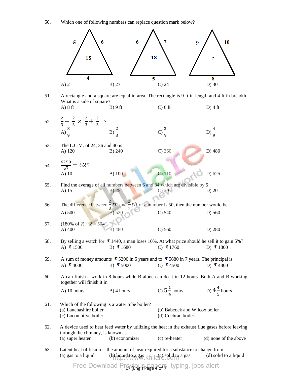50. Which one of following numbers can replace question mark below?



- 51. A rectangle and a square are equal in area. The rectangle is 9 ft in length and 4 ft in breadth. What is a side of square? A) 8 ft B) 9 ft C) 6 ft D) 4 ft
- 52.  $\overline{2}$  $\frac{2}{3} - \frac{2}{3}$  $\frac{2}{3} \times \frac{2}{3}$  $\frac{2}{3} + \frac{2}{3} = ?$ A) 8  $\frac{1}{9}$  B)  $\overline{2}$ 3 C)  $\frac{3}{9}$  D) 4 +<br>9 53. The L.C.M. of 24, 36 and 40 is A) 120 B) 240 C) 360 D) 480 54. 6250  $\frac{250}{\sqrt{?}}$  = 625 A) 10 B) 100 C) 110 D) 625 55. Find the average of all numbers between 6 and 34 which are divisible by 5 A) 15 B)  $25$  C) 30 D) 20 56. The difference between  $\overline{2}$  $\frac{2}{8}$ th and  $\frac{2}{7}$  $\frac{2}{7}$ th of a number is 50, then the number would be A) 500 B) 520 C) 540 D) 560 57. (180% of ?)  $\div 2 = 504$ A) 400 B) 480 C) 560 D) 280 58. By selling a watch for  $\bar{\mathbf{\zeta}}$  1440, a man loses 10%. At what price should he sell it to gain 5%? A) ₹1500 B) ₹1680 C) ₹1760 D) ₹1800 59. A sum of money amounts  $\bar{\mathbf{\xi}}$  5200 in 5 years and to  $\bar{\mathbf{\xi}}$  5680 in 7 years. The principal is A) ₹4000 B) ₹5000 C) ₹4500 D) ₹4800 60. A can finish a work in 8 hours while B alone can do it in 12 hours. Both A and B working together will finish it in A)  $10 \text{ hours}$  B)  $4 \text{ hours}$  $\overline{1}$  $\frac{1}{4}$  hours D)  $4\frac{4}{5}$  $\frac{1}{5}$  hours 61. Which of the following is a water tube boiler? (a) Lanchashire boiler (b) Babcock and Wilcox boiler (c) Locomotive boiler (d) Cochran boiler 62. A device used to heat feed water by utilizing the heat in the exhaust flue gases before leaving through the chimney, is known as (a) super heater (b) economizer (c) re-heater (d) none of the above
- 63. Latent heat of fusion is the amount of heat required for a substance to change from (a) gas to a liquid (b) liquid to a gas khilare.com a gas (d) solid to a liquid  $\Box$

Free Download Previous papers, typing, jobs alert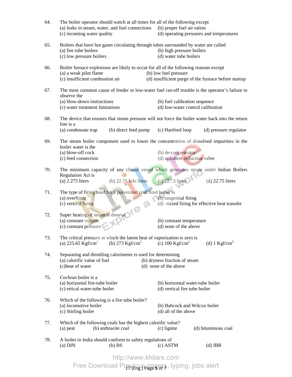| 64. | The boiler operator should watch at all times for all of the following except<br>(a) leaks in steam, water, and fuel connections<br>(c) incoming water quality | (b) proper fuel air ration<br>(d) operating pressures and temperatures        |                          |  |  |
|-----|----------------------------------------------------------------------------------------------------------------------------------------------------------------|-------------------------------------------------------------------------------|--------------------------|--|--|
| 65. | Boilers that have hot gases circulating through tubes surrounded by water are called<br>(a) fire tube boilers<br>(c) low pressure boilers                      | (b) high pressure boilers<br>(d) water tube boilers                           |                          |  |  |
| 66. | Boiler furnace explosions are likely to occur for all of the following reasons except<br>(a) a weak pilot flame<br>(c) insufficient combustion air             | (b) low fuel pressure<br>(d) insufficient purge of the furnace before startup |                          |  |  |
| 67. | The most common cause of feeder or low-water fuel cut-off trouble is the operator's failure to<br>observe the                                                  |                                                                               |                          |  |  |
|     | (a) blow-down instructions<br>(c) water treatment limitations                                                                                                  | (b) fuel calibration sequence<br>(d) low-water control calibration            |                          |  |  |
| 68. | The device that ensures that steam pressure will not force the boiler water back into the return<br>line is a                                                  |                                                                               |                          |  |  |
|     | (a) condensate trap<br>(b) direct feed pump                                                                                                                    | (c) Hartford loop                                                             | (d) pressure regulator   |  |  |
| 69. | The steam boiler component used to lower the concentration of dissolved impurities in the<br>boiler water is the                                               |                                                                               |                          |  |  |
|     | (a) blow-off cock<br>(c) feed connection                                                                                                                       | (b) de-concentrator<br>(d) sediment reduction valve                           |                          |  |  |
| 70. | The minimum capacity of any closed vessel which generates steam under Indian Boilers<br>Regulation Act is                                                      |                                                                               |                          |  |  |
|     | $(a)$ 2.275 liters<br>(b) $22.75$ kilo liters                                                                                                                  | $(c)$ 227.5 liters                                                            | $(d)$ 22.75 liters       |  |  |
| 71. | The type of firing used for a pulverized coal fired boiler is<br>(a) overfiring<br>(c) vertical firing                                                         | (b) tangential firing<br>(d) mixed firing for effective heat transfer         |                          |  |  |
| 72. | Super heating of steam is done at<br>(c) constant pressure                                                                                                     | (b) constant temperature<br>(d) none of the above                             |                          |  |  |
| 73. | The critical pressure at which the latent heat of vaporization is zero is<br>(a) 225.65 $Kgf/cm^2$<br>(b) 273 Kgf/cm <sup>2</sup>                              | (c) $100 \text{ Kgf/cm}^2$                                                    | (d) $1 \text{ Kgf/cm}^2$ |  |  |
| 74. | Separating and throttling calorimeter is used for determining<br>(a) calorific value of fuel<br>(c)heat of water                                               | (b) dryness fraction of steam<br>(d) none of the above                        |                          |  |  |
| 75. | Cochran boiler is a<br>(a) horizontal fire-tube boiler<br>(c) ertical water-tube boiler                                                                        | (b) horizontal water-tube boiler<br>(d) vertical fire tube boiler             |                          |  |  |
| 76. | Which of the following is a fire tube boiler?<br>(a) locomotive boiler<br>(c) Stirling boiler                                                                  | (b) Babcock and Wilcox boiler<br>(d) all of the above                         |                          |  |  |
| 77. | Which of the following coals has the highest calorific value?<br>(b) anthracite coal<br>(a) peat                                                               | (c) lignite                                                                   | (d) bituminous coal      |  |  |
| 78. | A boiler in India should conform to safety regulations of<br>$(a)$ DIN<br>(b) BS                                                                               | $(c)$ ASTM                                                                    | $(d)$ IBR                |  |  |
|     | http://www.khilare.com                                                                                                                                         |                                                                               |                          |  |  |

Free Download Previous papers, typing, jobs alert

17 (Eng.) Page **5** of 7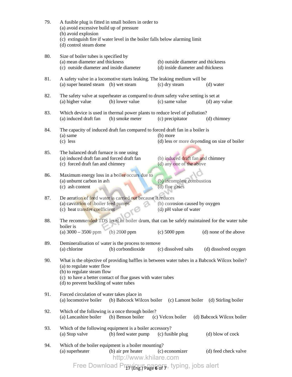| 79. | A fusible plug is fitted in small boilers in order to<br>(a) avoid excessive build up of pressure<br>(b) avoid explosion<br>(c) extinguish fire if water level in the boiler falls below alarming limit<br>(d) control steam dome                                  |                                                     |                                                                         |                           |  |  |
|-----|--------------------------------------------------------------------------------------------------------------------------------------------------------------------------------------------------------------------------------------------------------------------|-----------------------------------------------------|-------------------------------------------------------------------------|---------------------------|--|--|
| 80. | Size of boiler tubes is specified by<br>(a) mean diameter and thickness<br>(c) outside diameter and inside diameter                                                                                                                                                |                                                     | (b) outside diameter and thickness<br>(d) inside diameter and thickness |                           |  |  |
| 81. | A safety valve in a locomotive starts leaking. The leaking medium will be<br>(a) super heated steam (b) wet steam                                                                                                                                                  |                                                     | (c) dry steam                                                           | (d) water                 |  |  |
| 82. | The safety valve at superheater as compared to drum safety valve setting is set at<br>(a) higher value                                                                                                                                                             | (b) lower value                                     | (c) same value                                                          | (d) any value             |  |  |
| 83. | Which device is used in thermal power plants to reduce level of pollution?<br>(a) induced draft fan                                                                                                                                                                | (b) smoke meter                                     | (c) precipitator                                                        | (d) chimney               |  |  |
| 84. | The capacity of induced draft fan compared to forced draft fan in a boiler is<br>$(a)$ same<br>$(c)$ less                                                                                                                                                          |                                                     | (b) more<br>(d) less or more depending on size of boiler                |                           |  |  |
| 85. | The balanced draft furnace is one using<br>(a) induced draft fan and forced draft fan<br>(c) forced draft fan and chimney                                                                                                                                          |                                                     | (b) induced draft fan and chimney<br>(d) any one of the above           |                           |  |  |
| 86. | Maximum energy loss in a boiler occurs due to<br>(a) unburnt carbon in ash<br>(c) ash content                                                                                                                                                                      |                                                     | (b) incomplete combustion<br>(d) flue gases                             |                           |  |  |
| 87. | De aeration of feed water is carried out because it reduces<br>(a) cavitation of boiler feed pumps<br>(c) heat transfer coefficient                                                                                                                                |                                                     | (b) corrosion caused by oxygen<br>(d) pH value of water                 |                           |  |  |
| 88. | The recommended TDS level in boiler drum, that can be safely maintained for the water tube<br>boiler is<br>(a) $3000 - 3500$ ppm                                                                                                                                   | (b) $2000$ ppm (c) $5000$ ppm (d) none of the above |                                                                         |                           |  |  |
| 89. | Demineralisation of water is the process to remove<br>(a) chlorine                                                                                                                                                                                                 | (b) corbondioxide                                   | (c) dissolved salts                                                     | (d) dissolved oxygen      |  |  |
| 90. | What is the objective of providing baffles in between water tubes in a Babcock Wilcox boiler?<br>(a) to regulate water flow<br>(b) to regulate steam flow<br>(c) to have a better contact of flue gases with water tubes<br>(d) to prevent buckling of water tubes |                                                     |                                                                         |                           |  |  |
| 91. | Forced circulation of water takes place in<br>(a) locomotive boiler                                                                                                                                                                                                | (b) Babcock Wilcox boiler                           | (c) Lamont boiler                                                       | (d) Stirling boiler       |  |  |
| 92. | Which of the following is a once through boiler?<br>(a) Lancashire boiler                                                                                                                                                                                          | (b) Benson boiler                                   | (c) Velcox boiler                                                       | (d) Babcock Wilcox boiler |  |  |
| 93. | Which of the following equipment is a boiler accessory?<br>(a) Stop valve                                                                                                                                                                                          | (b) feed water pump                                 | (c) fusible plug                                                        | (d) blow of cock          |  |  |
| 94. | Which of the boiler equipment is a boiler mounting?<br>(a) superheater                                                                                                                                                                                             | (b) air pre heater<br>http://www.khilare.com        | (c) economizer                                                          | (d) feed check valve      |  |  |
|     |                                                                                                                                                                                                                                                                    | Free Download Previous page ers, typing, jobs alert |                                                                         |                           |  |  |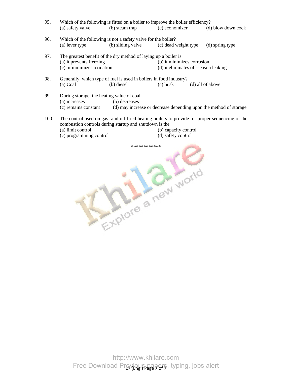95. Which of the following is fitted on a boiler to improve the boiler efficiency? (a) safety valve (b) steam trap (c) economizer (d) blow down cock 96. Which of the following is not a safety valve for the boiler?<br>(a) lever type (b) sliding valve (c) dead v (c) dead weight type  $(d)$  spring type 97. The greatest benefit of the dry method of laying up a boiler is (a) it prevents freezing (b) it minimizes corrosion (c) it minimizes oxidation (d) it eliminates off-season leaking 98. Generally, which type of fuel is used in boilers in food industry? (a) Coal (b) diesel (c) husk (d) all of above 99. During storage, the heating value of coal (a) increases (b) decreases<br>(c) remains constant (d) may increases (d) may increase or decrease depending upon the method of storage 100. The control used on gas- and oil-fired heating boilers to provide for proper sequencing of the combustion controls during startup and shutdown is the (a) limit control (b) capacity control (c) programming control (d) safety control

Explore a new world

Free Download Previous papers, typing, jobs alert http://www.khilare.com